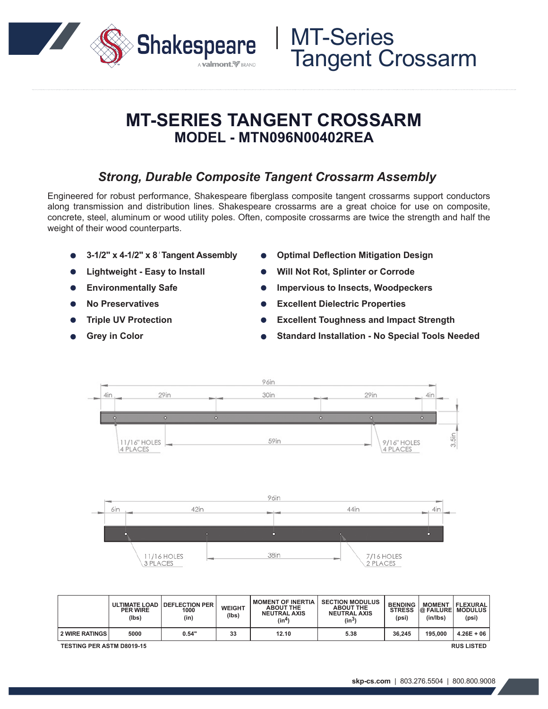

## **MT-SERIES TANGENT CROSSARM MODEL - MTN096N00402REA**

### *Strong, Durable Composite Tangent Crossarm Assembly*

Engineered for robust performance, Shakespeare fiberglass composite tangent crossarms support conductors along transmission and distribution lines. Shakespeare crossarms are a great choice for use on composite, concrete, steel, aluminum or wood utility poles. Often, composite crossarms are twice the strength and half the weight of their wood counterparts.

- **3-1/2" x 4-1/2" x 8***'* **Tangent Assembly**
- **Lightweight Easy to Install**
- **Environmentally Safe**  $\bullet$
- **No Preservatives**
- **Triple UV Protection**
- **Grey in Color**
- **Optimal Deflection Mitigation Design**
- **Will Not Rot, Splinter or Corrode**
- **Impervious to Insects, Woodpeckers**
- **Excellent Dielectric Properties**  $\bullet$
- **Excellent Toughness and Impact Strength**
- **Standard Installation No Special Tools Needed**



|                                                       | <b>PER WIRE</b><br>(lbs) | ULTIMATE LOAD   DEFLECTION PER<br>1000<br>(in) | <b>WEIGHT</b><br>(Ibs) | <b>MOMENT OF INERTIA</b><br><b>ABOUT THE</b><br><b>NEUTRAL AXIS</b><br>(in4) | <b>SECTION MODULUS</b><br><b>ABOUT THE</b><br><b>NEUTRAL AXIS</b><br>(in <sup>3</sup> ) | <b>BENDING</b><br><b>STRESS</b><br>(psi) | <b>MOMENT</b><br>@ FAILURE<br>(in/lbs) | <b>FLEXURAL</b><br><b>MODULUS</b><br>(psi) |
|-------------------------------------------------------|--------------------------|------------------------------------------------|------------------------|------------------------------------------------------------------------------|-----------------------------------------------------------------------------------------|------------------------------------------|----------------------------------------|--------------------------------------------|
| <b>2 WIRE RATINGS</b>                                 | 5000                     | 0.54"                                          | 33                     | 12.10                                                                        | 5.38                                                                                    | 36.245                                   | 195,000                                | $4.26E + 06$                               |
| <b>RUS LISTED</b><br><b>TESTING PER ASTM D8019-15</b> |                          |                                                |                        |                                                                              |                                                                                         |                                          |                                        |                                            |